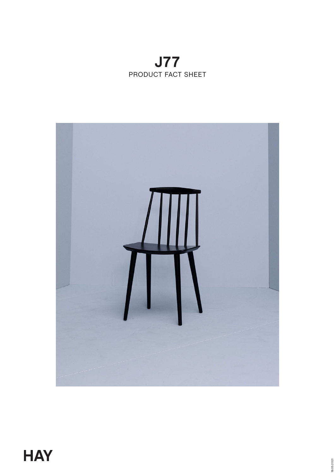# **J77** PRODUCT FACT SHEET

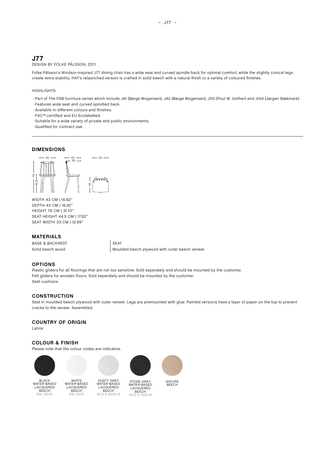# **J77**

## DESIGN BY FOLKE PÅLSSON, 2011

Folke Pålsson's Windsor-inspired J77 dining chair has a wide seat and curved spindle back for optimal comfort, while the slightly conical legs create extra stability. HAY's relaunched version is crafted in solid beech with a natural finish or a variety of coloured finishes.

– J77 –

#### **HIGHLIGHTS**

- ◊ Part of The FDB furniture series which include J41 (Børge Mogensen), J42 (Børge Mogensen), J110 (Poul M. Volther) and J104 (Jørgen Bækmark).
- ◊ Features wide seat and curved spindled back.
- ◊ Available in different colours and finishes.
- ◊ FSC™-certified and EU-Ecolabelled.
- ◊ Suitable for a wide variety of private and public environments.
- ◊ Qualified for contract use.

#### **DIMENSIONS**



WIDTH 43 CM | 16.92" DEPTH 43 CM | 16.92" HEIGHT 79 CM | 31.10" SEAT HEIGHT 44,5 CM | 17.52" SEAT WIDTH 33 CM | 12.99"

#### **MATERIALS**

BASE & BACKREST SEAT

Solid beech wood. **Moulded beech plywood with outer beech veneer.** 

### **OPTIONS**

Plastic gliders for all floorings that are not too sensitive. Sold seperately and should be mounted by the customer. Felt gliders for wooden floors. Sold seperately and should be mounted by the customer. Seat cushions.

#### **CONSTRUCTION**

Seat in moulded beech plywood with outer veneer. Legs are premounted with glue. Painted versions have a layer of paper on the top to prevent cracks to the veneer. Assembled.

#### **COUNTRY OF ORIGIN**

Latvia

#### **COLOUR & FINISH**

Please note that the colour codes are indicative.







BLACK WATER-BASED LACQUERED<br>BEECH RAL 9005

WHITE WATER-BASED LACQUERED<br>BEECH RAL 9010



STONE GREY WATER-BASED LACQUERED BEECH NCS S 7502-B



NATURE **BEECH**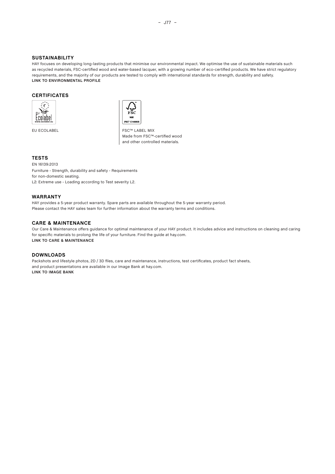#### **SUSTAINABILITY**

HAY focuses on developing long-lasting products that minimise our environmental impact. We optimise the use of sustainable materials such as recycled materials, FSC-certified wood and water-based lacquer, with a growing number of eco-certified products. We have strict regulatory requirements, and the majority of our products are tested to comply with international standards for strength, durability and safety. **[LINK TO ENVIRONMENTAL PROFIL](https://issuu.com/haydownloads/docs/hay_environmental_profile?fr=sZmNhMTI2MDczMjE)E**

#### **CERTIFICATES**





EU ECOLABEL FSC™ LABEL MIX Made from FSC™-certified wood and other controlled materials.

#### **TESTS**

EN 16139:2013 Furniture - Strength, durability and safety - Requirements for non-domestic seating. L2: Extreme use - Loading according to Test severity L2.

#### **WARRANTY**

HAY provides a 5-year product warranty. Spare parts are available throughout the 5-year warranty period. Please contact the HAY sales team for further information about the warranty terms and conditions.

#### **CARE & MAINTENANCE**

Our Care & Maintenance offers guidance for optimal maintenance of your HAY product. It includes advice and instructions on cleaning and caring for specific materials to prolong the life of your furniture. Find the guide at hay.com. **[LINK TO CARE & MAINTENANCE](https://issuu.com/haydownloads/docs/care_and_maintenance_2020?fr=sZmUwMDI0MTg1ODM)**

#### **DOWNLOADS**

Packshots and lifestyle photos, 2D / 3D files, care and maintenance, instructions, test certificates, product fact sheets, and product presentations are available in our Image Bank at hay.com. **[LINK TO IMAGE BANK](https://hay.presscloud.com/digitalshowroom/#/gallery/J77-Chair)**